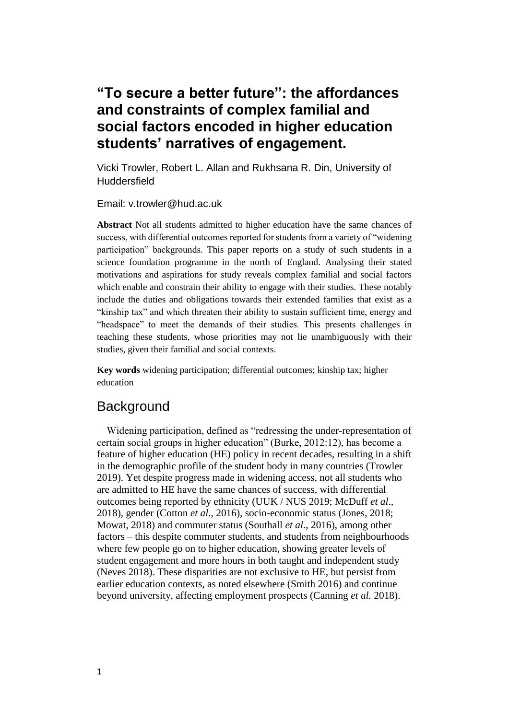# **"To secure a better future": the affordances and constraints of complex familial and social factors encoded in higher education students' narratives of engagement.**

Vicki Trowler, Robert L. Allan and Rukhsana R. Din, University of **Huddersfield** 

Email: v.trowler@hud.ac.uk

**Abstract** Not all students admitted to higher education have the same chances of success, with differential outcomes reported for students from a variety of "widening participation" backgrounds. This paper reports on a study of such students in a science foundation programme in the north of England. Analysing their stated motivations and aspirations for study reveals complex familial and social factors which enable and constrain their ability to engage with their studies. These notably include the duties and obligations towards their extended families that exist as a "kinship tax" and which threaten their ability to sustain sufficient time, energy and "headspace" to meet the demands of their studies. This presents challenges in teaching these students, whose priorities may not lie unambiguously with their studies, given their familial and social contexts.

**Key words** widening participation; differential outcomes; kinship tax; higher education

# **Background**

Widening participation, defined as "redressing the under-representation of certain social groups in higher education" (Burke, 2012:12), has become a feature of higher education (HE) policy in recent decades, resulting in a shift in the demographic profile of the student body in many countries (Trowler 2019). Yet despite progress made in widening access, not all students who are admitted to HE have the same chances of success, with differential outcomes being reported by ethnicity (UUK / NUS 2019; McDuff *et al*., 2018), gender (Cotton *et al*., 2016), socio-economic status (Jones, 2018; Mowat, 2018) and commuter status (Southall *et al*., 2016), among other factors – this despite commuter students, and students from neighbourhoods where few people go on to higher education, showing greater levels of student engagement and more hours in both taught and independent study (Neves 2018). These disparities are not exclusive to HE, but persist from earlier education contexts, as noted elsewhere (Smith 2016) and continue beyond university, affecting employment prospects (Canning *et al.* 2018).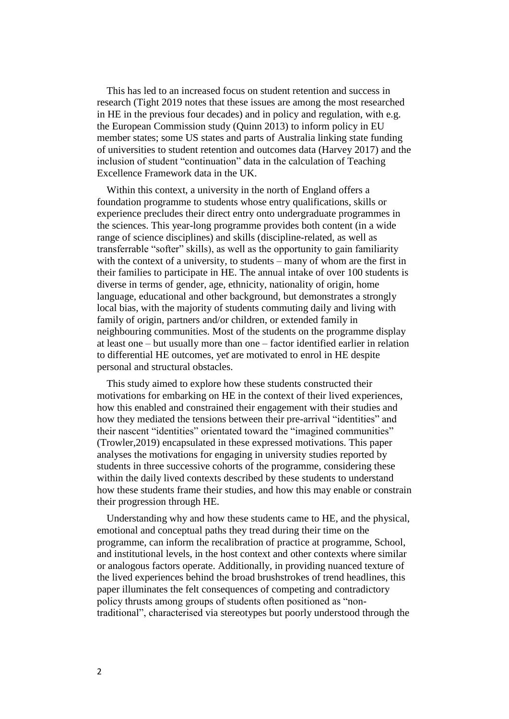This has led to an increased focus on student retention and success in research (Tight 2019 notes that these issues are among the most researched in HE in the previous four decades) and in policy and regulation, with e.g. the European Commission study (Quinn 2013) to inform policy in EU member states; some US states and parts of Australia linking state funding of universities to student retention and outcomes data (Harvey 2017) and the inclusion of student "continuation" data in the calculation of Teaching Excellence Framework data in the UK.

Within this context, a university in the north of England offers a foundation programme to students whose entry qualifications, skills or experience precludes their direct entry onto undergraduate programmes in the sciences. This year-long programme provides both content (in a wide range of science disciplines) and skills (discipline-related, as well as transferrable "softer" skills), as well as the opportunity to gain familiarity with the context of a university, to students – many of whom are the first in their families to participate in HE. The annual intake of over 100 students is diverse in terms of gender, age, ethnicity, nationality of origin, home language, educational and other background, but demonstrates a strongly local bias, with the majority of students commuting daily and living with family of origin, partners and/or children, or extended family in neighbouring communities. Most of the students on the programme display at least one – but usually more than one – factor identified earlier in relation to differential HE outcomes, yet are motivated to enrol in HE despite personal and structural obstacles.

This study aimed to explore how these students constructed their motivations for embarking on HE in the context of their lived experiences, how this enabled and constrained their engagement with their studies and how they mediated the tensions between their pre-arrival "identities" and their nascent "identities" orientated toward the "imagined communities" (Trowler*,*2019) encapsulated in these expressed motivations. This paper analyses the motivations for engaging in university studies reported by students in three successive cohorts of the programme, considering these within the daily lived contexts described by these students to understand how these students frame their studies, and how this may enable or constrain their progression through HE.

Understanding why and how these students came to HE, and the physical, emotional and conceptual paths they tread during their time on the programme, can inform the recalibration of practice at programme, School, and institutional levels, in the host context and other contexts where similar or analogous factors operate. Additionally, in providing nuanced texture of the lived experiences behind the broad brushstrokes of trend headlines, this paper illuminates the felt consequences of competing and contradictory policy thrusts among groups of students often positioned as "nontraditional", characterised via stereotypes but poorly understood through the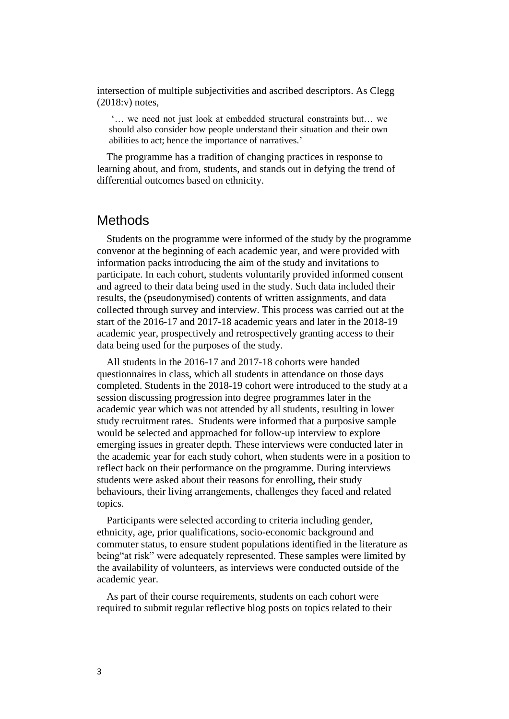intersection of multiple subjectivities and ascribed descriptors. As Clegg (2018:v) notes,

'… we need not just look at embedded structural constraints but… we should also consider how people understand their situation and their own abilities to act; hence the importance of narratives.'

The programme has a tradition of changing practices in response to learning about, and from, students, and stands out in defying the trend of differential outcomes based on ethnicity.

### **Methods**

Students on the programme were informed of the study by the programme convenor at the beginning of each academic year, and were provided with information packs introducing the aim of the study and invitations to participate. In each cohort, students voluntarily provided informed consent and agreed to their data being used in the study. Such data included their results, the (pseudonymised) contents of written assignments, and data collected through survey and interview. This process was carried out at the start of the 2016-17 and 2017-18 academic years and later in the 2018-19 academic year, prospectively and retrospectively granting access to their data being used for the purposes of the study.

All students in the 2016-17 and 2017-18 cohorts were handed questionnaires in class, which all students in attendance on those days completed. Students in the 2018-19 cohort were introduced to the study at a session discussing progression into degree programmes later in the academic year which was not attended by all students, resulting in lower study recruitment rates. Students were informed that a purposive sample would be selected and approached for follow-up interview to explore emerging issues in greater depth. These interviews were conducted later in the academic year for each study cohort, when students were in a position to reflect back on their performance on the programme. During interviews students were asked about their reasons for enrolling, their study behaviours, their living arrangements, challenges they faced and related topics.

Participants were selected according to criteria including gender, ethnicity, age, prior qualifications, socio-economic background and commuter status, to ensure student populations identified in the literature as being"at risk" were adequately represented. These samples were limited by the availability of volunteers, as interviews were conducted outside of the academic year.

As part of their course requirements, students on each cohort were required to submit regular reflective blog posts on topics related to their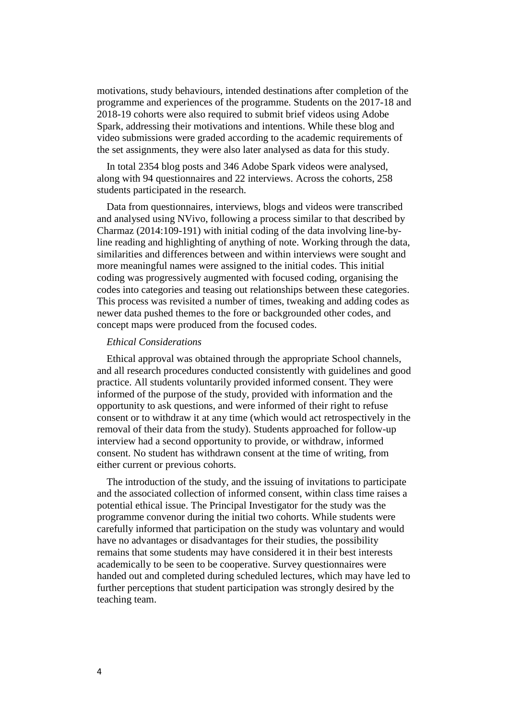motivations, study behaviours, intended destinations after completion of the programme and experiences of the programme. Students on the 2017-18 and 2018-19 cohorts were also required to submit brief videos using Adobe Spark, addressing their motivations and intentions. While these blog and video submissions were graded according to the academic requirements of the set assignments, they were also later analysed as data for this study.

In total 2354 blog posts and 346 Adobe Spark videos were analysed, along with 94 questionnaires and 22 interviews. Across the cohorts, 258 students participated in the research.

Data from questionnaires, interviews, blogs and videos were transcribed and analysed using NVivo, following a process similar to that described by Charmaz (2014:109-191) with initial coding of the data involving line-byline reading and highlighting of anything of note. Working through the data, similarities and differences between and within interviews were sought and more meaningful names were assigned to the initial codes. This initial coding was progressively augmented with focused coding, organising the codes into categories and teasing out relationships between these categories. This process was revisited a number of times, tweaking and adding codes as newer data pushed themes to the fore or backgrounded other codes, and concept maps were produced from the focused codes.

#### *Ethical Considerations*

Ethical approval was obtained through the appropriate School channels, and all research procedures conducted consistently with guidelines and good practice. All students voluntarily provided informed consent. They were informed of the purpose of the study, provided with information and the opportunity to ask questions, and were informed of their right to refuse consent or to withdraw it at any time (which would act retrospectively in the removal of their data from the study). Students approached for follow-up interview had a second opportunity to provide, or withdraw, informed consent. No student has withdrawn consent at the time of writing, from either current or previous cohorts.

The introduction of the study, and the issuing of invitations to participate and the associated collection of informed consent, within class time raises a potential ethical issue. The Principal Investigator for the study was the programme convenor during the initial two cohorts. While students were carefully informed that participation on the study was voluntary and would have no advantages or disadvantages for their studies, the possibility remains that some students may have considered it in their best interests academically to be seen to be cooperative. Survey questionnaires were handed out and completed during scheduled lectures, which may have led to further perceptions that student participation was strongly desired by the teaching team.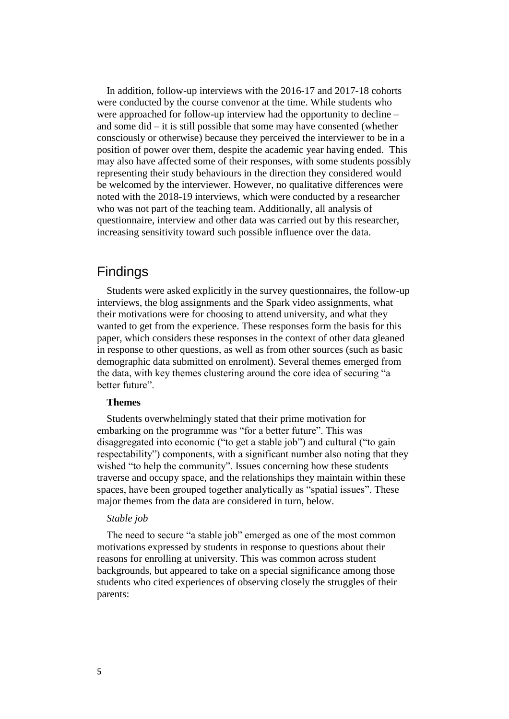In addition, follow-up interviews with the 2016-17 and 2017-18 cohorts were conducted by the course convenor at the time. While students who were approached for follow-up interview had the opportunity to decline – and some did – it is still possible that some may have consented (whether consciously or otherwise) because they perceived the interviewer to be in a position of power over them, despite the academic year having ended. This may also have affected some of their responses, with some students possibly representing their study behaviours in the direction they considered would be welcomed by the interviewer. However, no qualitative differences were noted with the 2018-19 interviews, which were conducted by a researcher who was not part of the teaching team. Additionally, all analysis of questionnaire, interview and other data was carried out by this researcher, increasing sensitivity toward such possible influence over the data.

# Findings

Students were asked explicitly in the survey questionnaires, the follow-up interviews, the blog assignments and the Spark video assignments, what their motivations were for choosing to attend university, and what they wanted to get from the experience. These responses form the basis for this paper, which considers these responses in the context of other data gleaned in response to other questions, as well as from other sources (such as basic demographic data submitted on enrolment). Several themes emerged from the data, with key themes clustering around the core idea of securing "a better future".

#### **Themes**

Students overwhelmingly stated that their prime motivation for embarking on the programme was "for a better future". This was disaggregated into economic ("to get a stable job") and cultural ("to gain respectability") components, with a significant number also noting that they wished "to help the community". Issues concerning how these students traverse and occupy space, and the relationships they maintain within these spaces, have been grouped together analytically as "spatial issues". These major themes from the data are considered in turn, below.

#### *Stable job*

The need to secure "a stable job" emerged as one of the most common motivations expressed by students in response to questions about their reasons for enrolling at university. This was common across student backgrounds, but appeared to take on a special significance among those students who cited experiences of observing closely the struggles of their parents: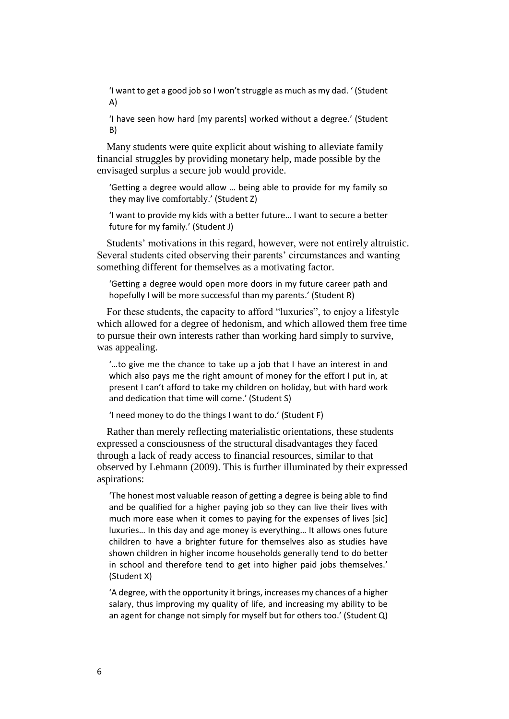'I want to get a good job so I won't struggle as much as my dad. ' (Student A)

'I have seen how hard [my parents] worked without a degree.' (Student B)

Many students were quite explicit about wishing to alleviate family financial struggles by providing monetary help, made possible by the envisaged surplus a secure job would provide.

'Getting a degree would allow … being able to provide for my family so they may live comfortably.' (Student Z)

'I want to provide my kids with a better future… I want to secure a better future for my family.' (Student J)

Students' motivations in this regard, however, were not entirely altruistic. Several students cited observing their parents' circumstances and wanting something different for themselves as a motivating factor.

'Getting a degree would open more doors in my future career path and hopefully I will be more successful than my parents.' (Student R)

For these students, the capacity to afford "luxuries", to enjoy a lifestyle which allowed for a degree of hedonism, and which allowed them free time to pursue their own interests rather than working hard simply to survive, was appealing.

'…to give me the chance to take up a job that I have an interest in and which also pays me the right amount of money for the effort I put in, at present I can't afford to take my children on holiday, but with hard work and dedication that time will come.' (Student S)

'I need money to do the things I want to do.' (Student F)

Rather than merely reflecting materialistic orientations, these students expressed a consciousness of the structural disadvantages they faced through a lack of ready access to financial resources, similar to that observed by Lehmann (2009). This is further illuminated by their expressed aspirations:

'The honest most valuable reason of getting a degree is being able to find and be qualified for a higher paying job so they can live their lives with much more ease when it comes to paying for the expenses of lives [sic] luxuries… In this day and age money is everything… It allows ones future children to have a brighter future for themselves also as studies have shown children in higher income households generally tend to do better in school and therefore tend to get into higher paid jobs themselves.' (Student X)

'A degree, with the opportunity it brings, increases my chances of a higher salary, thus improving my quality of life, and increasing my ability to be an agent for change not simply for myself but for others too.' (Student Q)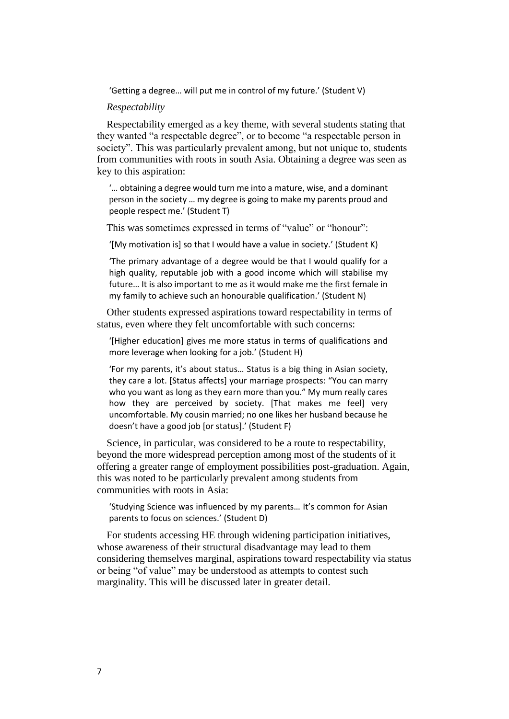'Getting a degree… will put me in control of my future.' (Student V)

#### *Respectability*

Respectability emerged as a key theme, with several students stating that they wanted "a respectable degree", or to become "a respectable person in society". This was particularly prevalent among, but not unique to, students from communities with roots in south Asia. Obtaining a degree was seen as key to this aspiration:

'… obtaining a degree would turn me into a mature, wise, and a dominant person in the society … my degree is going to make my parents proud and people respect me.' (Student T)

This was sometimes expressed in terms of "value" or "honour":

'[My motivation is] so that I would have a value in society.' (Student K)

'The primary advantage of a degree would be that I would qualify for a high quality, reputable job with a good income which will stabilise my future… It is also important to me as it would make me the first female in my family to achieve such an honourable qualification.' (Student N)

Other students expressed aspirations toward respectability in terms of status, even where they felt uncomfortable with such concerns:

'[Higher education] gives me more status in terms of qualifications and more leverage when looking for a job.' (Student H)

'For my parents, it's about status… Status is a big thing in Asian society, they care a lot. [Status affects] your marriage prospects: "You can marry who you want as long as they earn more than you." My mum really cares how they are perceived by society. [That makes me feel] very uncomfortable. My cousin married; no one likes her husband because he doesn't have a good job [or status].' (Student F)

Science, in particular, was considered to be a route to respectability, beyond the more widespread perception among most of the students of it offering a greater range of employment possibilities post-graduation. Again, this was noted to be particularly prevalent among students from communities with roots in Asia:

'Studying Science was influenced by my parents… It's common for Asian parents to focus on sciences.' (Student D)

For students accessing HE through widening participation initiatives, whose awareness of their structural disadvantage may lead to them considering themselves marginal, aspirations toward respectability via status or being "of value" may be understood as attempts to contest such marginality. This will be discussed later in greater detail.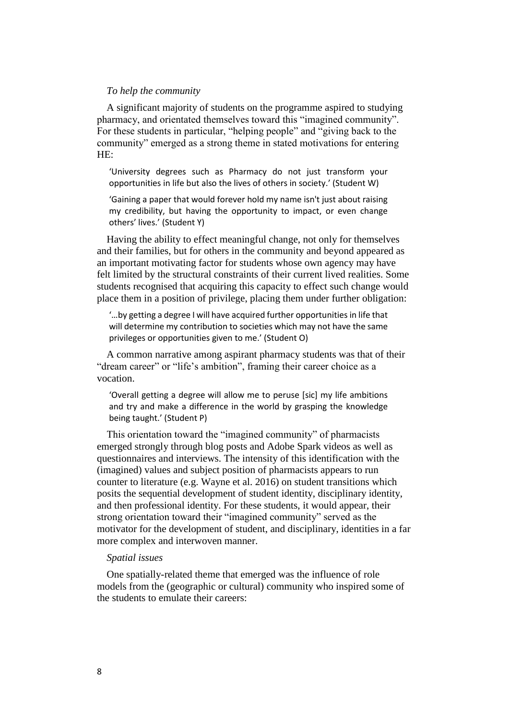#### *To help the community*

A significant majority of students on the programme aspired to studying pharmacy, and orientated themselves toward this "imagined community". For these students in particular, "helping people" and "giving back to the community" emerged as a strong theme in stated motivations for entering HE:

'University degrees such as Pharmacy do not just transform your opportunities in life but also the lives of others in society.' (Student W)

'Gaining a paper that would forever hold my name isn't just about raising my credibility, but having the opportunity to impact, or even change others' lives.' (Student Y)

Having the ability to effect meaningful change, not only for themselves and their families, but for others in the community and beyond appeared as an important motivating factor for students whose own agency may have felt limited by the structural constraints of their current lived realities. Some students recognised that acquiring this capacity to effect such change would place them in a position of privilege, placing them under further obligation:

'…by getting a degree I will have acquired further opportunities in life that will determine my contribution to societies which may not have the same privileges or opportunities given to me.' (Student O)

A common narrative among aspirant pharmacy students was that of their "dream career" or "life's ambition", framing their career choice as a vocation.

'Overall getting a degree will allow me to peruse [sic] my life ambitions and try and make a difference in the world by grasping the knowledge being taught.' (Student P)

This orientation toward the "imagined community" of pharmacists emerged strongly through blog posts and Adobe Spark videos as well as questionnaires and interviews. The intensity of this identification with the (imagined) values and subject position of pharmacists appears to run counter to literature (e.g. Wayne et al. 2016) on student transitions which posits the sequential development of student identity, disciplinary identity, and then professional identity. For these students, it would appear, their strong orientation toward their "imagined community" served as the motivator for the development of student, and disciplinary, identities in a far more complex and interwoven manner.

#### *Spatial issues*

One spatially-related theme that emerged was the influence of role models from the (geographic or cultural) community who inspired some of the students to emulate their careers: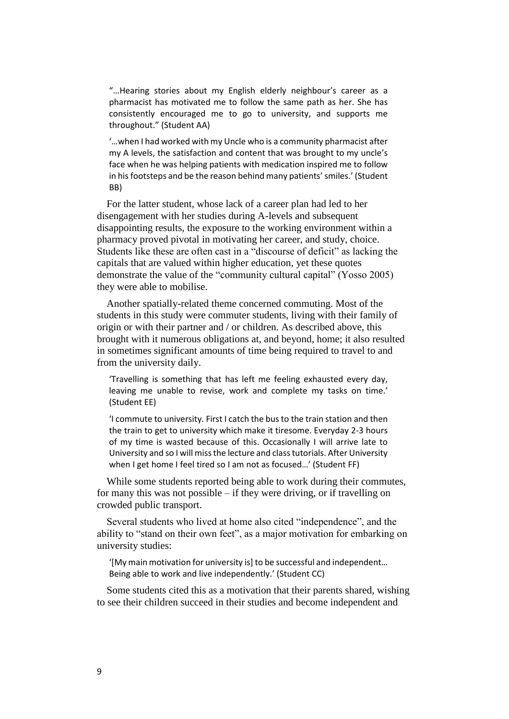"…Hearing stories about my English elderly neighbour's career as a pharmacist has motivated me to follow the same path as her. She has consistently encouraged me to go to university, and supports me throughout." (Student AA)

'…when I had worked with my Uncle who is a community pharmacist after my A levels, the satisfaction and content that was brought to my uncle's face when he was helping patients with medication inspired me to follow in his footsteps and be the reason behind many patients' smiles.' (Student BB)

For the latter student, whose lack of a career plan had led to her disengagement with her studies during A-levels and subsequent disappointing results, the exposure to the working environment within a pharmacy proved pivotal in motivating her career, and study, choice. Students like these are often cast in a "discourse of deficit" as lacking the capitals that are valued within higher education, yet these quotes demonstrate the value of the "community cultural capital" (Yosso 2005) they were able to mobilise.

Another spatially-related theme concerned commuting. Most of the students in this study were commuter students, living with their family of origin or with their partner and / or children. As described above, this brought with it numerous obligations at, and beyond, home; it also resulted in sometimes significant amounts of time being required to travel to and from the university daily.

'Travelling is something that has left me feeling exhausted every day, leaving me unable to revise, work and complete my tasks on time.' (Student EE)

'I commute to university. First I catch the bus to the train station and then the train to get to university which make it tiresome. Everyday 2-3 hours of my time is wasted because of this. Occasionally I will arrive late to University and so I will miss the lecture and class tutorials. After University when I get home I feel tired so I am not as focused…' (Student FF)

While some students reported being able to work during their commutes, for many this was not possible – if they were driving, or if travelling on crowded public transport.

Several students who lived at home also cited "independence", and the ability to "stand on their own feet", as a major motivation for embarking on university studies:

'[My main motivation for university is] to be successful and independent… Being able to work and live independently.' (Student CC)

Some students cited this as a motivation that their parents shared, wishing to see their children succeed in their studies and become independent and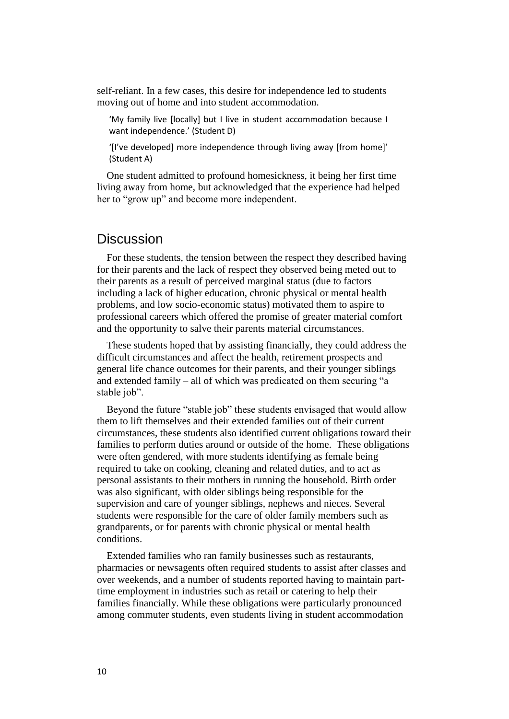self-reliant. In a few cases, this desire for independence led to students moving out of home and into student accommodation.

'My family live [locally] but I live in student accommodation because I want independence.' (Student D)

'[I've developed] more independence through living away [from home]' (Student A)

One student admitted to profound homesickness, it being her first time living away from home, but acknowledged that the experience had helped her to "grow up" and become more independent.

### **Discussion**

For these students, the tension between the respect they described having for their parents and the lack of respect they observed being meted out to their parents as a result of perceived marginal status (due to factors including a lack of higher education, chronic physical or mental health problems, and low socio-economic status) motivated them to aspire to professional careers which offered the promise of greater material comfort and the opportunity to salve their parents material circumstances.

These students hoped that by assisting financially, they could address the difficult circumstances and affect the health, retirement prospects and general life chance outcomes for their parents, and their younger siblings and extended family – all of which was predicated on them securing "a stable job".

Beyond the future "stable job" these students envisaged that would allow them to lift themselves and their extended families out of their current circumstances, these students also identified current obligations toward their families to perform duties around or outside of the home. These obligations were often gendered, with more students identifying as female being required to take on cooking, cleaning and related duties, and to act as personal assistants to their mothers in running the household. Birth order was also significant, with older siblings being responsible for the supervision and care of younger siblings, nephews and nieces. Several students were responsible for the care of older family members such as grandparents, or for parents with chronic physical or mental health conditions.

Extended families who ran family businesses such as restaurants, pharmacies or newsagents often required students to assist after classes and over weekends, and a number of students reported having to maintain parttime employment in industries such as retail or catering to help their families financially. While these obligations were particularly pronounced among commuter students, even students living in student accommodation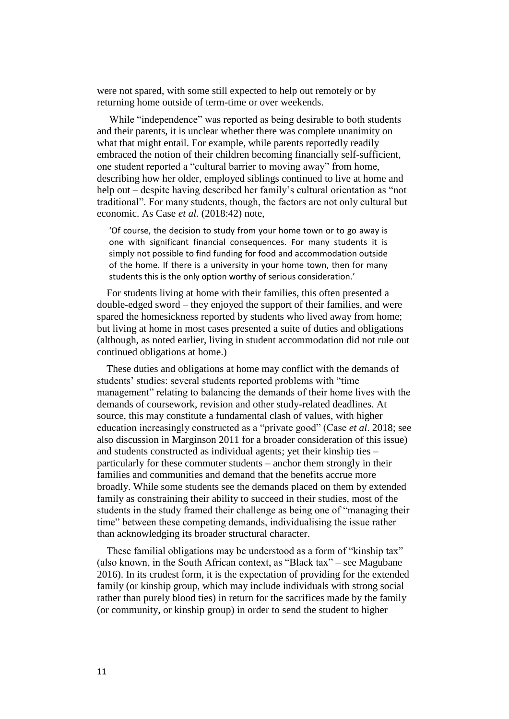were not spared, with some still expected to help out remotely or by returning home outside of term-time or over weekends.

While "independence" was reported as being desirable to both students and their parents, it is unclear whether there was complete unanimity on what that might entail. For example, while parents reportedly readily embraced the notion of their children becoming financially self-sufficient, one student reported a "cultural barrier to moving away" from home, describing how her older, employed siblings continued to live at home and help out – despite having described her family's cultural orientation as "not traditional". For many students, though, the factors are not only cultural but economic. As Case *et al.* (2018:42) note,

'Of course, the decision to study from your home town or to go away is one with significant financial consequences. For many students it is simply not possible to find funding for food and accommodation outside of the home. If there is a university in your home town, then for many students this is the only option worthy of serious consideration.'

For students living at home with their families, this often presented a double-edged sword – they enjoyed the support of their families, and were spared the homesickness reported by students who lived away from home; but living at home in most cases presented a suite of duties and obligations (although, as noted earlier, living in student accommodation did not rule out continued obligations at home.)

These duties and obligations at home may conflict with the demands of students' studies: several students reported problems with "time management" relating to balancing the demands of their home lives with the demands of coursework, revision and other study-related deadlines. At source, this may constitute a fundamental clash of values, with higher education increasingly constructed as a "private good" (Case *et al*. 2018; see also discussion in Marginson 2011 for a broader consideration of this issue) and students constructed as individual agents; yet their kinship ties – particularly for these commuter students – anchor them strongly in their families and communities and demand that the benefits accrue more broadly. While some students see the demands placed on them by extended family as constraining their ability to succeed in their studies, most of the students in the study framed their challenge as being one of "managing their time" between these competing demands, individualising the issue rather than acknowledging its broader structural character.

These familial obligations may be understood as a form of "kinship tax" (also known, in the South African context, as "Black tax" – see Magubane 2016). In its crudest form, it is the expectation of providing for the extended family (or kinship group, which may include individuals with strong social rather than purely blood ties) in return for the sacrifices made by the family (or community, or kinship group) in order to send the student to higher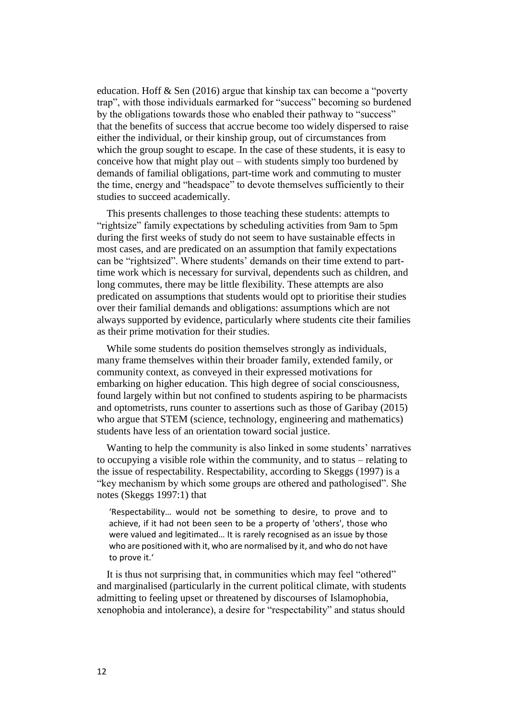education. Hoff & Sen (2016) argue that kinship tax can become a "poverty trap", with those individuals earmarked for "success" becoming so burdened by the obligations towards those who enabled their pathway to "success" that the benefits of success that accrue become too widely dispersed to raise either the individual, or their kinship group, out of circumstances from which the group sought to escape. In the case of these students, it is easy to conceive how that might play out – with students simply too burdened by demands of familial obligations, part-time work and commuting to muster the time, energy and "headspace" to devote themselves sufficiently to their studies to succeed academically.

This presents challenges to those teaching these students: attempts to "rightsize" family expectations by scheduling activities from 9am to 5pm during the first weeks of study do not seem to have sustainable effects in most cases, and are predicated on an assumption that family expectations can be "rightsized". Where students' demands on their time extend to parttime work which is necessary for survival, dependents such as children, and long commutes, there may be little flexibility. These attempts are also predicated on assumptions that students would opt to prioritise their studies over their familial demands and obligations: assumptions which are not always supported by evidence, particularly where students cite their families as their prime motivation for their studies.

While some students do position themselves strongly as individuals, many frame themselves within their broader family, extended family, or community context, as conveyed in their expressed motivations for embarking on higher education. This high degree of social consciousness, found largely within but not confined to students aspiring to be pharmacists and optometrists, runs counter to assertions such as those of Garibay (2015) who argue that STEM (science, technology, engineering and mathematics) students have less of an orientation toward social justice.

Wanting to help the community is also linked in some students' narratives to occupying a visible role within the community, and to status – relating to the issue of respectability. Respectability, according to Skeggs (1997) is a "key mechanism by which some groups are othered and pathologised". She notes (Skeggs 1997:1) that

'Respectability… would not be something to desire, to prove and to achieve, if it had not been seen to be a property of 'others', those who were valued and legitimated… It is rarely recognised as an issue by those who are positioned with it, who are normalised by it, and who do not have to prove it.'

It is thus not surprising that, in communities which may feel "othered" and marginalised (particularly in the current political climate, with students admitting to feeling upset or threatened by discourses of Islamophobia, xenophobia and intolerance), a desire for "respectability" and status should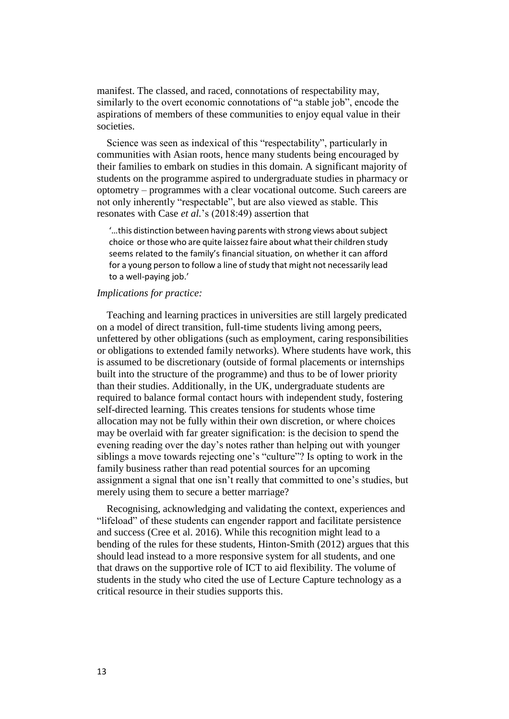manifest. The classed, and raced, connotations of respectability may, similarly to the overt economic connotations of "a stable job", encode the aspirations of members of these communities to enjoy equal value in their societies.

Science was seen as indexical of this "respectability", particularly in communities with Asian roots, hence many students being encouraged by their families to embark on studies in this domain. A significant majority of students on the programme aspired to undergraduate studies in pharmacy or optometry – programmes with a clear vocational outcome. Such careers are not only inherently "respectable", but are also viewed as stable. This resonates with Case *et al.*'s (2018:49) assertion that

'…this distinction between having parents with strong views about subject choice or those who are quite laissez faire about what their children study seems related to the family's financial situation, on whether it can afford for a young person to follow a line of study that might not necessarily lead to a well-paying job.'

#### *Implications for practice:*

Teaching and learning practices in universities are still largely predicated on a model of direct transition, full-time students living among peers, unfettered by other obligations (such as employment, caring responsibilities or obligations to extended family networks). Where students have work, this is assumed to be discretionary (outside of formal placements or internships built into the structure of the programme) and thus to be of lower priority than their studies. Additionally, in the UK, undergraduate students are required to balance formal contact hours with independent study, fostering self-directed learning. This creates tensions for students whose time allocation may not be fully within their own discretion, or where choices may be overlaid with far greater signification: is the decision to spend the evening reading over the day's notes rather than helping out with younger siblings a move towards rejecting one's "culture"? Is opting to work in the family business rather than read potential sources for an upcoming assignment a signal that one isn't really that committed to one's studies, but merely using them to secure a better marriage?

Recognising, acknowledging and validating the context, experiences and "lifeload" of these students can engender rapport and facilitate persistence and success (Cree et al. 2016). While this recognition might lead to a bending of the rules for these students, Hinton-Smith (2012) argues that this should lead instead to a more responsive system for all students, and one that draws on the supportive role of ICT to aid flexibility. The volume of students in the study who cited the use of Lecture Capture technology as a critical resource in their studies supports this.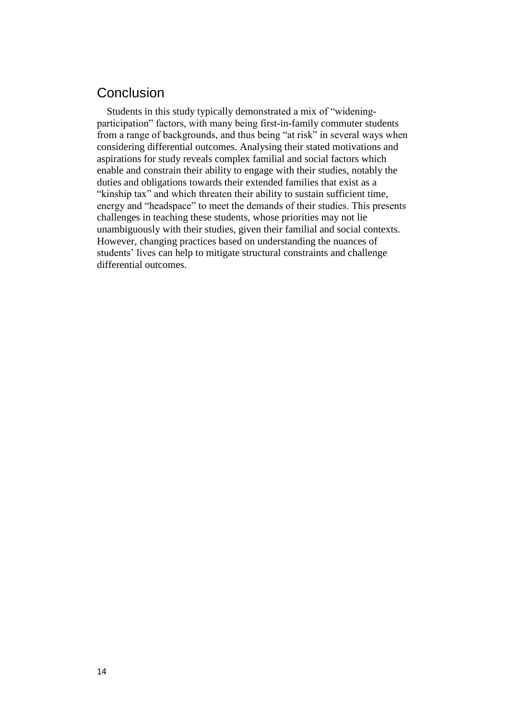# Conclusion

Students in this study typically demonstrated a mix of "wideningparticipation" factors, with many being first-in-family commuter students from a range of backgrounds, and thus being "at risk" in several ways when considering differential outcomes. Analysing their stated motivations and aspirations for study reveals complex familial and social factors which enable and constrain their ability to engage with their studies, notably the duties and obligations towards their extended families that exist as a "kinship tax" and which threaten their ability to sustain sufficient time, energy and "headspace" to meet the demands of their studies. This presents challenges in teaching these students, whose priorities may not lie unambiguously with their studies, given their familial and social contexts. However, changing practices based on understanding the nuances of students' lives can help to mitigate structural constraints and challenge differential outcomes.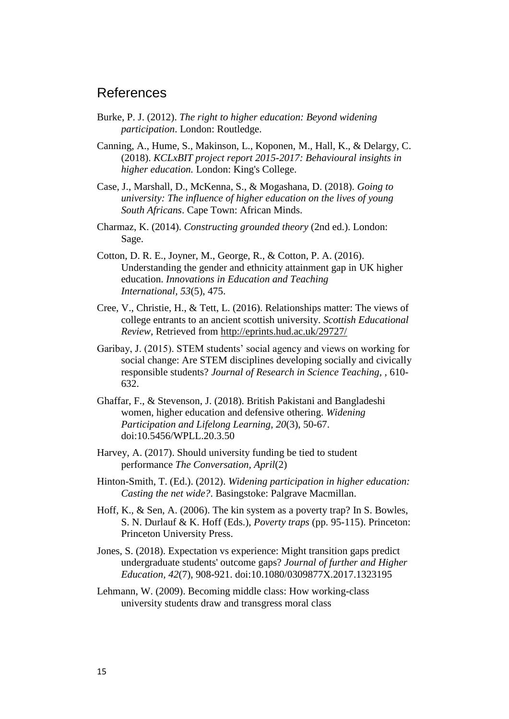## References

- Burke, P. J. (2012). *The right to higher education: Beyond widening participation*. London: Routledge.
- Canning, A., Hume, S., Makinson, L., Koponen, M., Hall, K., & Delargy, C. (2018). *KCLxBIT project report 2015-2017: Behavioural insights in higher education.* London: King's College.
- Case, J., Marshall, D., McKenna, S., & Mogashana, D. (2018). *Going to university: The influence of higher education on the lives of young South Africans*. Cape Town: African Minds.
- Charmaz, K. (2014). *Constructing grounded theory* (2nd ed.). London: Sage.
- Cotton, D. R. E., Joyner, M., George, R., & Cotton, P. A. (2016). Understanding the gender and ethnicity attainment gap in UK higher education. *Innovations in Education and Teaching International, 53*(5), 475.
- Cree, V., Christie, H., & Tett, L. (2016). Relationships matter: The views of college entrants to an ancient scottish university. *Scottish Educational Review,* Retrieved from <http://eprints.hud.ac.uk/29727/>
- Garibay, J. (2015). STEM students' social agency and views on working for social change: Are STEM disciplines developing socially and civically responsible students? *Journal of Research in Science Teaching,* , 610- 632.
- Ghaffar, F., & Stevenson, J. (2018). British Pakistani and Bangladeshi women, higher education and defensive othering. *Widening Participation and Lifelong Learning, 20*(3), 50-67. doi:10.5456/WPLL.20.3.50
- Harvey, A. (2017). Should university funding be tied to student performance *The Conversation, April*(2)
- Hinton-Smith, T. (Ed.). (2012). *Widening participation in higher education: Casting the net wide?*. Basingstoke: Palgrave Macmillan.
- Hoff, K., & Sen, A. (2006). The kin system as a poverty trap? In S. Bowles, S. N. Durlauf & K. Hoff (Eds.), *Poverty traps* (pp. 95-115). Princeton: Princeton University Press.
- Jones, S. (2018). Expectation vs experience: Might transition gaps predict undergraduate students' outcome gaps? *Journal of further and Higher Education, 42*(7), 908-921. doi:10.1080/0309877X.2017.1323195
- Lehmann, W. (2009). Becoming middle class: How working-class university students draw and transgress moral class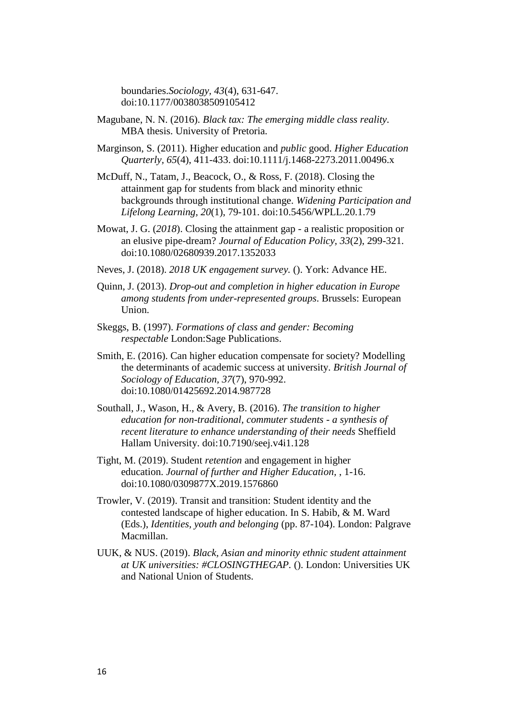boundaries.*Sociology, 43*(4), 631-647. doi:10.1177/0038038509105412

- Magubane, N. N. (2016). *Black tax: The emerging middle class reality.*  MBA thesis. University of Pretoria.
- Marginson, S. (2011). Higher education and *public* good. *Higher Education Quarterly, 65*(4), 411-433. doi:10.1111/j.1468-2273.2011.00496.x
- McDuff, N., Tatam, J., Beacock, O., & Ross, F. (2018). Closing the attainment gap for students from black and minority ethnic backgrounds through institutional change. *Widening Participation and Lifelong Learning, 20*(1), 79-101. doi:10.5456/WPLL.20.1.79
- Mowat, J. G. (*2018*). Closing the attainment gap a realistic proposition or an elusive pipe-dream? *Journal of Education Policy, 33*(2), 299-321. doi:10.1080/02680939.2017.1352033
- Neves, J. (2018). *2018 UK engagement survey.* (). York: Advance HE.
- Quinn, J. (2013). *Drop-out and completion in higher education in Europe among students from under-represented groups*. Brussels: European Union.
- Skeggs, B. (1997). *Formations of class and gender: Becoming respectable* London:Sage Publications.
- Smith, E. (2016). Can higher education compensate for society? Modelling the determinants of academic success at university. *British Journal of Sociology of Education, 37*(7), 970-992. doi:10.1080/01425692.2014.987728
- Southall, J., Wason, H., & Avery, B. (2016). *The transition to higher education for non-traditional, commuter students - a synthesis of recent literature to enhance understanding of their needs* Sheffield Hallam University. doi:10.7190/seej.v4i1.128
- Tight, M. (2019). Student *retention* and engagement in higher education. *Journal of further and Higher Education,* , 1-16. doi:10.1080/0309877X.2019.1576860
- Trowler, V. (2019). Transit and transition: Student identity and the contested landscape of higher education. In S. Habib, & M. Ward (Eds.), *Identities, youth and belonging* (pp. 87-104). London: Palgrave Macmillan.
- UUK, & NUS. (2019). *Black, Asian and minority ethnic student attainment at UK universities: #CLOSINGTHEGAP.* (). London: Universities UK and National Union of Students.